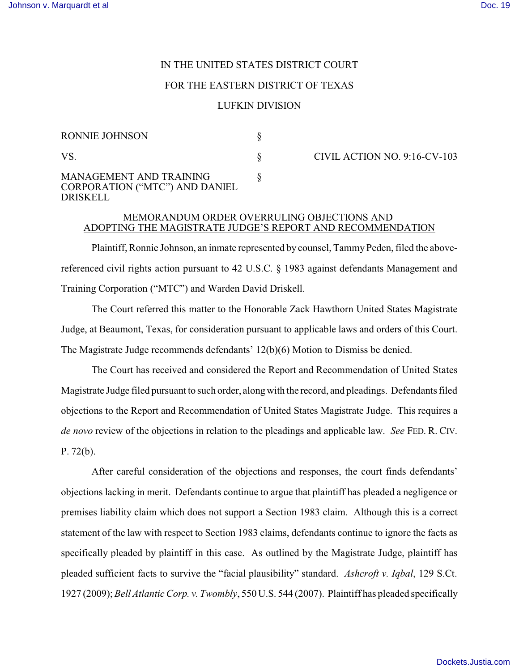# IN THE UNITED STATES DISTRICT COURT

#### FOR THE EASTERN DISTRICT OF TEXAS

## LUFKIN DIVISION

| <b>RONNIE JOHNSON</b>                                                                      |  |
|--------------------------------------------------------------------------------------------|--|
| VS.                                                                                        |  |
| <b>MANAGEMENT AND TRAINING</b><br><b>CORPORATION ("MTC") AND DANIEL</b><br><b>DRISKELL</b> |  |

CIVIL ACTION NO. 9:16-CV-103

## MEMORANDUM ORDER OVERRULING OBJECTIONS AND ADOPTING THE MAGISTRATE JUDGE'S REPORT AND RECOMMENDATION

Plaintiff, Ronnie Johnson, an inmate represented by counsel, Tammy Peden, filed the abovereferenced civil rights action pursuant to 42 U.S.C. § 1983 against defendants Management and Training Corporation ("MTC") and Warden David Driskell.

The Court referred this matter to the Honorable Zack Hawthorn United States Magistrate Judge, at Beaumont, Texas, for consideration pursuant to applicable laws and orders of this Court. The Magistrate Judge recommends defendants' 12(b)(6) Motion to Dismiss be denied.

The Court has received and considered the Report and Recommendation of United States Magistrate Judge filed pursuant to such order, alongwith the record, and pleadings. Defendants filed objections to the Report and Recommendation of United States Magistrate Judge. This requires a *de novo* review of the objections in relation to the pleadings and applicable law. *See* FED. R. CIV. P. 72(b).

After careful consideration of the objections and responses, the court finds defendants' objections lacking in merit. Defendants continue to argue that plaintiff has pleaded a negligence or premises liability claim which does not support a Section 1983 claim. Although this is a correct statement of the law with respect to Section 1983 claims, defendants continue to ignore the facts as specifically pleaded by plaintiff in this case. As outlined by the Magistrate Judge, plaintiff has pleaded sufficient facts to survive the "facial plausibility" standard. *Ashcroft v. Iqbal*, 129 S.Ct. 1927 (2009); *Bell Atlantic Corp. v. Twombly*, 550 U.S. 544 (2007). Plaintiff has pleaded specifically